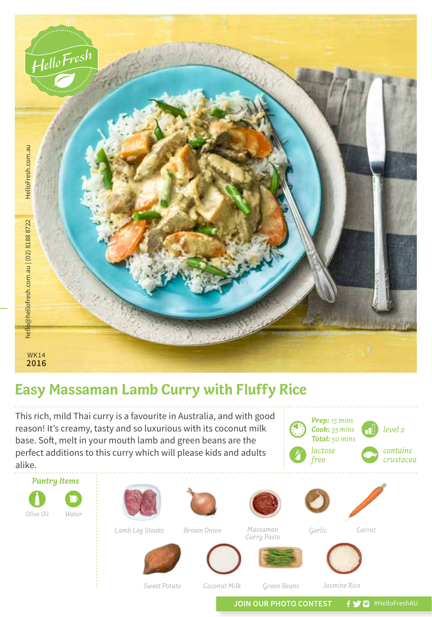

## **Easy Massaman Lamb Curry with Fluffy Rice**

This rich, mild Thai curry is a favourite in Australia, and with good reason! It's creamy, tasty and so luxurious with its coconut milk base. Soft, melt in your mouth lamb and green beans are the perfect additions to this curry which will please kids and adults alike.

*Pantry Items*

*Water*

*Olive Oil*



*Sweet Potato Coconut Milk*

*Green Beans*

*Jasmine Rice*

JOIN OUR PHOTO CONTEST **f y** a #HelloFreshAU